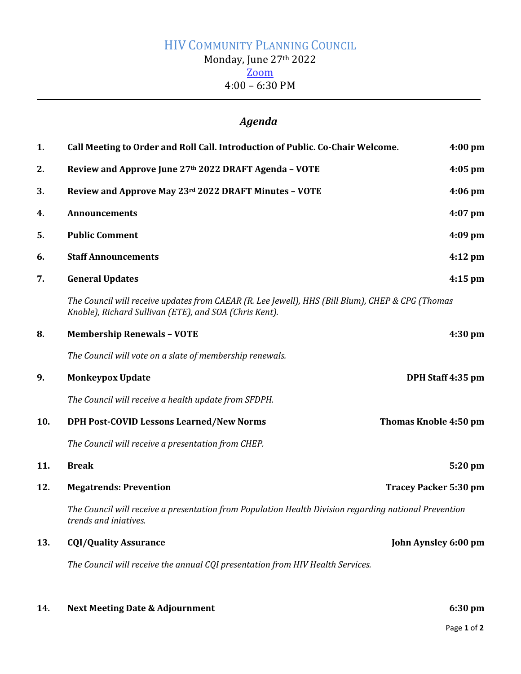## HIV COMMUNITY PLANNING COUNCIL Monday, June 27<sup>th</sup> 2022 [Zoom](https://us02web.zoom.us/j/83659844648?pwd=QU8wTkNtUE1FR0JRME1FcVJWMHlOUT09) 4:00 – 6:30 PM

## *Agenda*

| 1.  | Call Meeting to Order and Roll Call. Introduction of Public. Co-Chair Welcome.                                                                             | $4:00$ pm         |
|-----|------------------------------------------------------------------------------------------------------------------------------------------------------------|-------------------|
| 2.  | Review and Approve June 27th 2022 DRAFT Agenda - VOTE                                                                                                      | $4:05$ pm         |
| 3.  | Review and Approve May 23rd 2022 DRAFT Minutes - VOTE                                                                                                      | $4:06$ pm         |
| 4.  | <b>Announcements</b>                                                                                                                                       | $4:07$ pm         |
| 5.  | <b>Public Comment</b>                                                                                                                                      | 4:09 pm           |
| 6.  | <b>Staff Announcements</b>                                                                                                                                 | $4:12$ pm         |
| 7.  | <b>General Updates</b>                                                                                                                                     | $4:15$ pm         |
|     | The Council will receive updates from CAEAR (R. Lee Jewell), HHS (Bill Blum), CHEP & CPG (Thomas<br>Knoble), Richard Sullivan (ETE), and SOA (Chris Kent). |                   |
| 8.  | <b>Membership Renewals - VOTE</b>                                                                                                                          | $4:30$ pm         |
|     | The Council will vote on a slate of membership renewals.                                                                                                   |                   |
| 9.  | <b>Monkeypox Update</b>                                                                                                                                    | DPH Staff 4:35 pm |
|     | The Council will receive a health update from SFDPH.                                                                                                       |                   |
| 10. | <b>DPH Post-COVID Lessons Learned/New Norms</b><br>Thomas Knoble 4:50 pm                                                                                   |                   |
|     | The Council will receive a presentation from CHEP.                                                                                                         |                   |
| 11. | <b>Break</b>                                                                                                                                               | 5:20 pm           |
| 12. | <b>Megatrends: Prevention</b><br><b>Tracey Packer 5:30 pm</b>                                                                                              |                   |
|     | The Council will receive a presentation from Population Health Division regarding national Prevention<br>trends and iniatives.                             |                   |
| 13. | <b>CQI/Quality Assurance</b><br>John Aynsley 6:00 pm                                                                                                       |                   |
|     | The Council will receive the annual CQI presentation from HIV Health Services.                                                                             |                   |

| 14. | <b>Next Meeting Date &amp; Adjournment</b> | $6:30 \text{ pm}$ |
|-----|--------------------------------------------|-------------------|
|     |                                            | Page 1 of 2       |